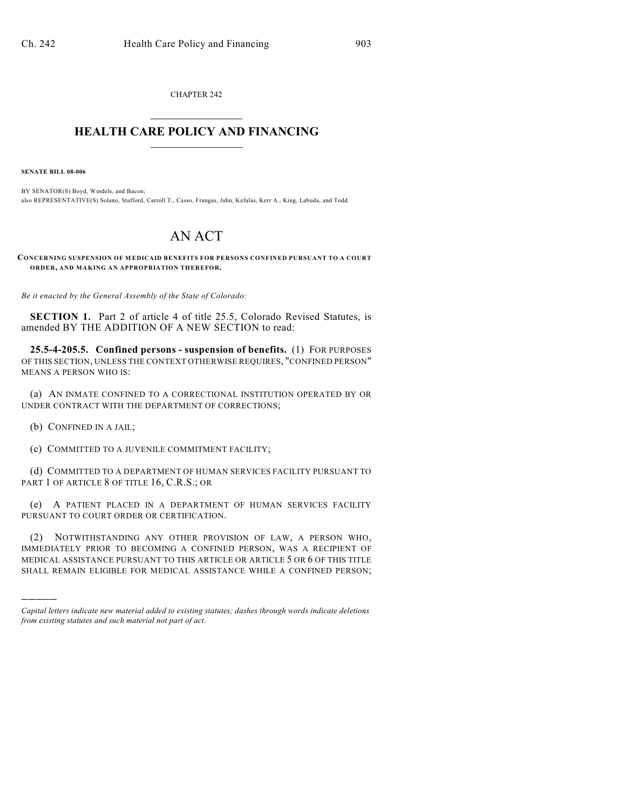CHAPTER 242  $\overline{\phantom{a}}$  . The set of the set of the set of the set of the set of the set of the set of the set of the set of the set of the set of the set of the set of the set of the set of the set of the set of the set of the set o

## **HEALTH CARE POLICY AND FINANCING**  $\_$   $\_$   $\_$   $\_$   $\_$   $\_$   $\_$   $\_$

**SENATE BILL 08-006**

BY SENATOR(S) Boyd, Windels, and Bacon; also REPRESENTATIVE(S) Solano, Stafford, Carroll T., Casso, Frangas, Jahn, Kefalas, Kerr A., King, Labuda, and Todd.

## AN ACT

**CONCERNING SUSPENSION OF M EDICAID BENEFITS FOR PERSONS CONFINED PURSUANT TO A COURT ORDER, AND MAKING AN APPROPRIATION THEREFOR.**

*Be it enacted by the General Assembly of the State of Colorado:*

**SECTION 1.** Part 2 of article 4 of title 25.5, Colorado Revised Statutes, is amended BY THE ADDITION OF A NEW SECTION to read:

**25.5-4-205.5. Confined persons - suspension of benefits.** (1) FOR PURPOSES OF THIS SECTION, UNLESS THE CONTEXT OTHERWISE REQUIRES, "CONFINED PERSON" MEANS A PERSON WHO IS:

(a) AN INMATE CONFINED TO A CORRECTIONAL INSTITUTION OPERATED BY OR UNDER CONTRACT WITH THE DEPARTMENT OF CORRECTIONS;

(b) CONFINED IN A JAIL;

)))))

(c) COMMITTED TO A JUVENILE COMMITMENT FACILITY;

(d) COMMITTED TO A DEPARTMENT OF HUMAN SERVICES FACILITY PURSUANT TO PART 1 OF ARTICLE 8 OF TITLE 16, C.R.S.; OR

(e) A PATIENT PLACED IN A DEPARTMENT OF HUMAN SERVICES FACILITY PURSUANT TO COURT ORDER OR CERTIFICATION.

(2) NOTWITHSTANDING ANY OTHER PROVISION OF LAW, A PERSON WHO, IMMEDIATELY PRIOR TO BECOMING A CONFINED PERSON, WAS A RECIPIENT OF MEDICAL ASSISTANCE PURSUANT TO THIS ARTICLE OR ARTICLE 5 OR 6 OF THIS TITLE SHALL REMAIN ELIGIBLE FOR MEDICAL ASSISTANCE WHILE A CONFINED PERSON;

*Capital letters indicate new material added to existing statutes; dashes through words indicate deletions from existing statutes and such material not part of act.*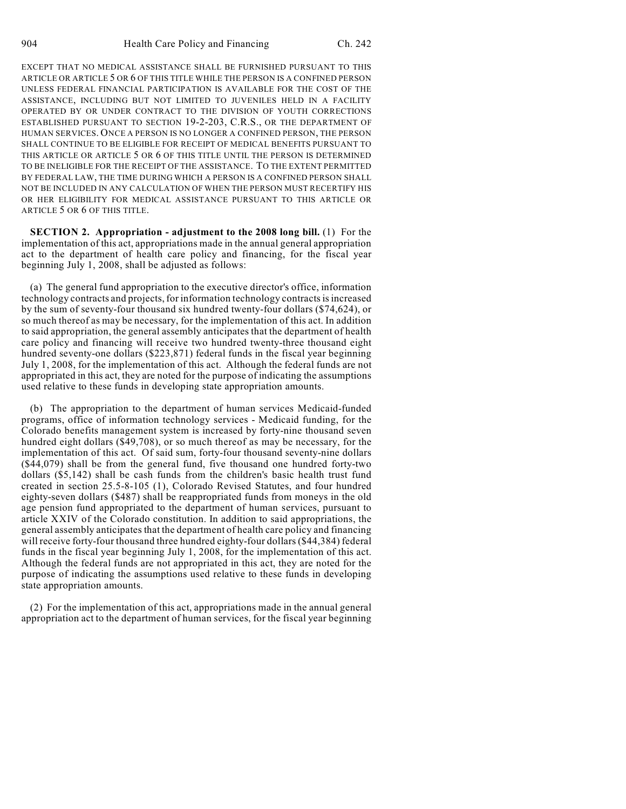EXCEPT THAT NO MEDICAL ASSISTANCE SHALL BE FURNISHED PURSUANT TO THIS ARTICLE OR ARTICLE 5 OR 6 OF THIS TITLE WHILE THE PERSON IS A CONFINED PERSON UNLESS FEDERAL FINANCIAL PARTICIPATION IS AVAILABLE FOR THE COST OF THE ASSISTANCE, INCLUDING BUT NOT LIMITED TO JUVENILES HELD IN A FACILITY OPERATED BY OR UNDER CONTRACT TO THE DIVISION OF YOUTH CORRECTIONS ESTABLISHED PURSUANT TO SECTION 19-2-203, C.R.S., OR THE DEPARTMENT OF HUMAN SERVICES. ONCE A PERSON IS NO LONGER A CONFINED PERSON, THE PERSON SHALL CONTINUE TO BE ELIGIBLE FOR RECEIPT OF MEDICAL BENEFITS PURSUANT TO THIS ARTICLE OR ARTICLE 5 OR 6 OF THIS TITLE UNTIL THE PERSON IS DETERMINED TO BE INELIGIBLE FOR THE RECEIPT OF THE ASSISTANCE. TO THE EXTENT PERMITTED BY FEDERAL LAW, THE TIME DURING WHICH A PERSON IS A CONFINED PERSON SHALL NOT BE INCLUDED IN ANY CALCULATION OF WHEN THE PERSON MUST RECERTIFY HIS OR HER ELIGIBILITY FOR MEDICAL ASSISTANCE PURSUANT TO THIS ARTICLE OR ARTICLE 5 OR 6 OF THIS TITLE.

**SECTION 2. Appropriation - adjustment to the 2008 long bill.** (1) For the implementation of this act, appropriations made in the annual general appropriation act to the department of health care policy and financing, for the fiscal year beginning July 1, 2008, shall be adjusted as follows:

(a) The general fund appropriation to the executive director's office, information technology contracts and projects, for information technology contracts is increased by the sum of seventy-four thousand six hundred twenty-four dollars (\$74,624), or so much thereof as may be necessary, for the implementation of this act. In addition to said appropriation, the general assembly anticipates that the department of health care policy and financing will receive two hundred twenty-three thousand eight hundred seventy-one dollars (\$223,871) federal funds in the fiscal year beginning July 1, 2008, for the implementation of this act. Although the federal funds are not appropriated in this act, they are noted for the purpose of indicating the assumptions used relative to these funds in developing state appropriation amounts.

(b) The appropriation to the department of human services Medicaid-funded programs, office of information technology services - Medicaid funding, for the Colorado benefits management system is increased by forty-nine thousand seven hundred eight dollars (\$49,708), or so much thereof as may be necessary, for the implementation of this act. Of said sum, forty-four thousand seventy-nine dollars (\$44,079) shall be from the general fund, five thousand one hundred forty-two dollars (\$5,142) shall be cash funds from the children's basic health trust fund created in section 25.5-8-105 (1), Colorado Revised Statutes, and four hundred eighty-seven dollars (\$487) shall be reappropriated funds from moneys in the old age pension fund appropriated to the department of human services, pursuant to article XXIV of the Colorado constitution. In addition to said appropriations, the general assembly anticipates that the department of health care policy and financing will receive forty-four thousand three hundred eighty-four dollars (\$44,384) federal funds in the fiscal year beginning July 1, 2008, for the implementation of this act. Although the federal funds are not appropriated in this act, they are noted for the purpose of indicating the assumptions used relative to these funds in developing state appropriation amounts.

(2) For the implementation of this act, appropriations made in the annual general appropriation act to the department of human services, for the fiscal year beginning